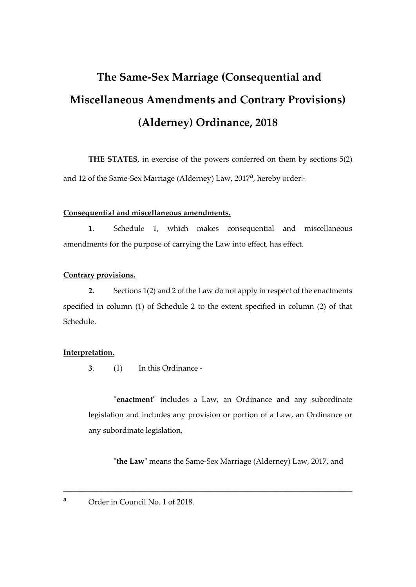# **The Same-Sex Marriage (Consequential and Miscellaneous Amendments and Contrary Provisions) (Alderney) Ordinance, 2018**

**THE STATES**, in exercise of the powers conferred on them by sections 5(2) and 12 of the Same-Sex Marriage (Alderney) Law, 2017<sup>a</sup>, hereby order:-

#### **Consequential and miscellaneous amendments.**

**1**. Schedule 1, which makes consequential and miscellaneous amendments for the purpose of carrying the Law into effect, has effect.

#### **Contrary provisions.**

**2.** Sections 1(2) and 2 of the Law do not apply in respect of the enactments specified in column (1) of Schedule 2 to the extent specified in column (2) of that Schedule.

#### **Interpretation.**

**3**. (1) In this Ordinance -

"**enactment**" includes a Law, an Ordinance and any subordinate legislation and includes any provision or portion of a Law, an Ordinance or any subordinate legislation,

"**the Law**" means the Same-Sex Marriage (Alderney) Law, 2017, and

\_\_\_\_\_\_\_\_\_\_\_\_\_\_\_\_\_\_\_\_\_\_\_\_\_\_\_\_\_\_\_\_\_\_\_\_\_\_\_\_\_\_\_\_\_\_\_\_\_\_\_\_\_\_\_\_\_\_\_\_\_\_\_\_\_\_\_\_\_

**<sup>a</sup>** Order in Council No. 1 of 2018.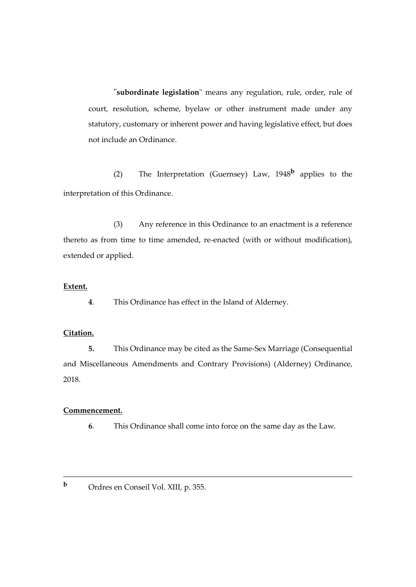"**subordinate legislation**" means any regulation, rule, order, rule of court, resolution, scheme, byelaw or other instrument made under any statutory, customary or inherent power and having legislative effect, but does not include an Ordinance.

(2) The Interpretation (Guernsey) Law, 1948**<sup>b</sup>** applies to the interpretation of this Ordinance.

(3) Any reference in this Ordinance to an enactment is a reference thereto as from time to time amended, re-enacted (with or without modification), extended or applied.

#### **Extent.**

**4**. This Ordinance has effect in the Island of Alderney.

## **Citation.**

**5.** This Ordinance may be cited as the Same-Sex Marriage (Consequential and Miscellaneous Amendments and Contrary Provisions) (Alderney) Ordinance, 2018.

#### **Commencement.**

**6**. This Ordinance shall come into force on the same day as the Law.

\_\_\_\_\_\_\_\_\_\_\_\_\_\_\_\_\_\_\_\_\_\_\_\_\_\_\_\_\_\_\_\_\_\_\_\_\_\_\_\_\_\_\_\_\_\_\_\_\_\_\_\_\_\_\_\_\_\_\_\_\_\_\_\_\_\_\_\_\_

**<sup>b</sup>** Ordres en Conseil Vol. XIII, p. 355.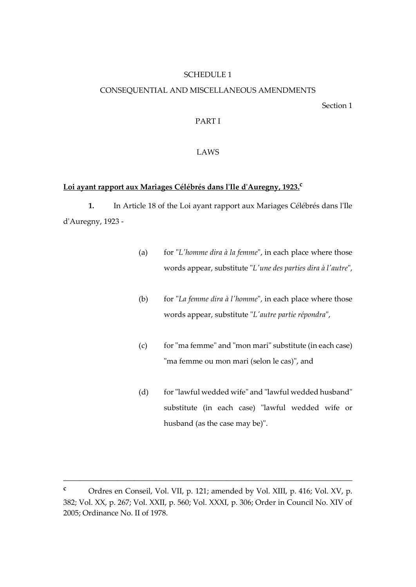#### SCHEDULE 1

#### CONSEQUENTIAL AND MISCELLANEOUS AMENDMENTS

Section 1

#### PART I

#### LAWS

# **Loi ayant rapport aux Mariages Célébrés dans l'Ile d'Auregny, 1923. c**

**1.** In Article 18 of the Loi ayant rapport aux Mariages Célébrés dans l'Ile d'Auregny, 1923 -

- (a) for "*L'homme dira à la femme*", in each place where those words appear, substitute "*L'une des parties dira à l'autre*",
- (b) for "*La femme dira à l'homme*", in each place where those words appear, substitute "*L'autre partie répondra*",
- (c) for "ma femme" and "mon mari" substitute (in each case) "ma femme ou mon mari (selon le cas)", and
- (d) for "lawful wedded wife" and "lawful wedded husband" substitute (in each case) "lawful wedded wife or husband (as the case may be)".

**<sup>c</sup>** Ordres en Conseil, Vol. VII, p. 121; amended by Vol. XIII, p. 416; Vol. XV, p. 382; Vol. XX, p. 267; Vol. XXII, p. 560; Vol. XXXI, p. 306; Order in Council No. XIV of 2005; Ordinance No. II of 1978.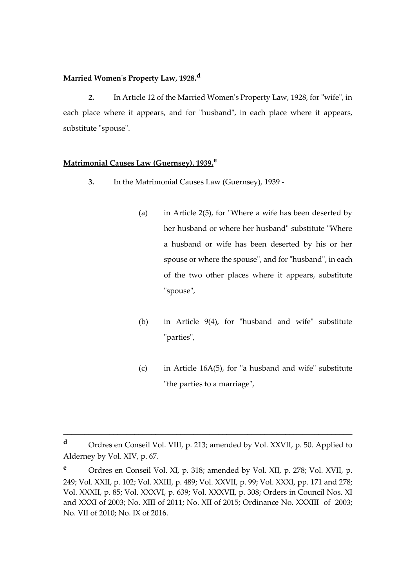## **Married Women's Property Law, 1928.<sup>d</sup>**

**2.** In Article 12 of the Married Women's Property Law, 1928, for "wife", in each place where it appears, and for "husband", in each place where it appears, substitute "spouse".

#### **Matrimonial Causes Law (Guernsey), 1939.<sup>e</sup>**

- **3.** In the Matrimonial Causes Law (Guernsey), 1939
	- (a) in Article 2(5), for "Where a wife has been deserted by her husband or where her husband" substitute "Where a husband or wife has been deserted by his or her spouse or where the spouse", and for "husband", in each of the two other places where it appears, substitute "spouse",
	- (b) in Article 9(4), for "husband and wife" substitute "parties",
	- (c) in Article 16A(5), for "a husband and wife" substitute "the parties to a marriage",

**<sup>d</sup>** Ordres en Conseil Vol. VIII, p. 213; amended by Vol. XXVII, p. 50. Applied to Alderney by Vol. XIV, p. 67.

**<sup>e</sup>** Ordres en Conseil Vol. XI, p. 318; amended by Vol. XII, p. 278; Vol. XVII, p. 249; Vol. XXII, p. 102; Vol. XXIII, p. 489; Vol. XXVII, p. 99; Vol. XXXI, pp. 171 and 278; Vol. XXXII, p. 85; Vol. XXXVI, p. 639; Vol. XXXVII, p. 308; Orders in Council Nos. XI and XXXI of 2003; No. XIII of 2011; No. XII of 2015; Ordinance No. XXXIII of 2003; No. VII of 2010; No. IX of 2016.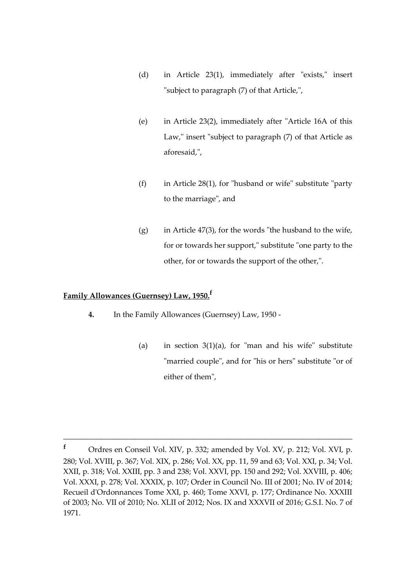- (d) in Article 23(1), immediately after "exists," insert "subject to paragraph (7) of that Article,",
- (e) in Article 23(2), immediately after "Article 16A of this Law," insert "subject to paragraph (7) of that Article as aforesaid,",
- (f) in Article  $28(1)$ , for "husband or wife" substitute "party" to the marriage", and
- (g) in Article 47(3), for the words "the husband to the wife, for or towards her support," substitute "one party to the other, for or towards the support of the other,".

# **Family Allowances (Guernsey) Law, 1950. f**

- **4.** In the Family Allowances (Guernsey) Law, 1950
	- (a) in section  $3(1)(a)$ , for "man and his wife" substitute "married couple", and for "his or hers" substitute "or of either of them",

**<sup>f</sup>** Ordres en Conseil Vol. XIV, p. 332; amended by Vol. XV, p. 212; Vol. XVI, p. 280; Vol. XVIII, p. 367; Vol. XIX, p. 286; Vol. XX, pp. 11, 59 and 63; Vol. XXI, p. 34; Vol. XXII, p. 318; Vol. XXIII, pp. 3 and 238; Vol. XXVI, pp. 150 and 292; Vol. XXVIII, p. 406; Vol. XXXI, p. 278; Vol. XXXIX, p. 107; Order in Council No. III of 2001; No. IV of 2014; Recueil d'Ordonnances Tome XXI, p. 460; Tome XXVI, p. 177; Ordinance No. XXXIII of 2003; No. VII of 2010; No. XLII of 2012; Nos. IX and XXXVII of 2016; G.S.I. No. 7 of 1971.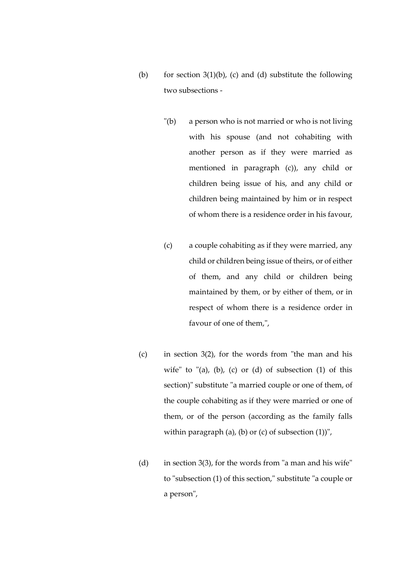- (b) for section  $3(1)(b)$ , (c) and (d) substitute the following two subsections -
	- "(b) a person who is not married or who is not living with his spouse (and not cohabiting with another person as if they were married as mentioned in paragraph (c)), any child or children being issue of his, and any child or children being maintained by him or in respect of whom there is a residence order in his favour,
	- (c) a couple cohabiting as if they were married, any child or children being issue of theirs, or of either of them, and any child or children being maintained by them, or by either of them, or in respect of whom there is a residence order in favour of one of them,",
- (c) in section 3(2), for the words from "the man and his wife" to "(a), (b), (c) or (d) of subsection  $(1)$  of this section)" substitute "a married couple or one of them, of the couple cohabiting as if they were married or one of them, or of the person (according as the family falls within paragraph (a), (b) or (c) of subsection  $(1)$ )",
- (d) in section 3(3), for the words from "a man and his wife" to "subsection (1) of this section," substitute "a couple or a person",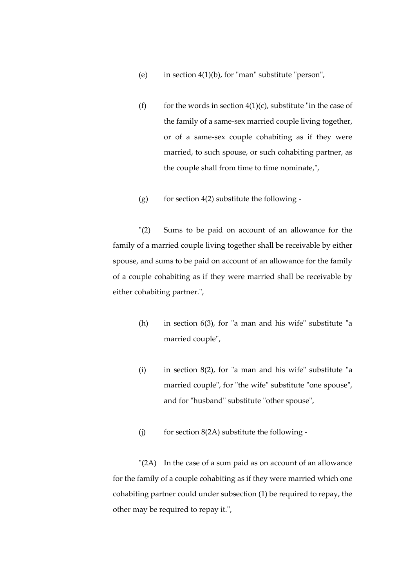- (e) in section  $4(1)(b)$ , for "man" substitute "person",
- (f) for the words in section  $4(1)(c)$ , substitute "in the case of the family of a same-sex married couple living together, or of a same-sex couple cohabiting as if they were married, to such spouse, or such cohabiting partner, as the couple shall from time to time nominate,",
- (g) for section  $4(2)$  substitute the following -

"(2) Sums to be paid on account of an allowance for the family of a married couple living together shall be receivable by either spouse, and sums to be paid on account of an allowance for the family of a couple cohabiting as if they were married shall be receivable by either cohabiting partner.",

- (h) in section 6(3), for "a man and his wife" substitute "a married couple",
- (i) in section  $8(2)$ , for "a man and his wife" substitute "a married couple", for "the wife" substitute "one spouse", and for "husband" substitute "other spouse",
- (i) for section  $8(2A)$  substitute the following -

"(2A) In the case of a sum paid as on account of an allowance for the family of a couple cohabiting as if they were married which one cohabiting partner could under subsection (1) be required to repay, the other may be required to repay it.",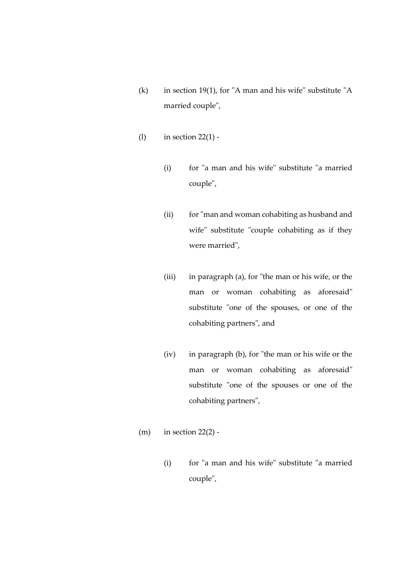- (k) in section 19(1), for "A man and his wife" substitute "A married couple",
- (l) in section 22(1)
	- (i) for "a man and his wife" substitute "a married couple",
	- (ii) for "man and woman cohabiting as husband and wife" substitute "couple cohabiting as if they were married",
	- (iii) in paragraph (a), for "the man or his wife, or the man or woman cohabiting as aforesaid" substitute "one of the spouses, or one of the cohabiting partners", and
	- (iv) in paragraph (b), for "the man or his wife or the man or woman cohabiting as aforesaid" substitute "one of the spouses or one of the cohabiting partners",
- $(m)$  in section 22(2) -
	- (i) for "a man and his wife" substitute "a married couple",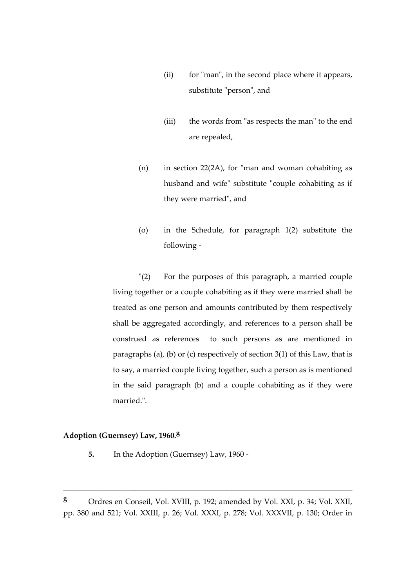- (ii) for "man", in the second place where it appears, substitute "person", and
- (iii) the words from "as respects the man" to the end are repealed,
- (n) in section 22(2A), for "man and woman cohabiting as husband and wife" substitute "couple cohabiting as if they were married", and
- (o) in the Schedule, for paragraph 1(2) substitute the following -

"(2) For the purposes of this paragraph, a married couple living together or a couple cohabiting as if they were married shall be treated as one person and amounts contributed by them respectively shall be aggregated accordingly, and references to a person shall be construed as references to such persons as are mentioned in paragraphs (a), (b) or (c) respectively of section 3(1) of this Law, that is to say, a married couple living together, such a person as is mentioned in the said paragraph (b) and a couple cohabiting as if they were married.".

# **Adoption (Guernsey) Law, 1960.<sup>g</sup>**

**5.** In the Adoption (Guernsey) Law, 1960 -

**<sup>g</sup>** Ordres en Conseil, Vol. XVIII, p. 192; amended by Vol. XXI, p. 34; Vol. XXII, pp. 380 and 521; Vol. XXIII, p. 26; Vol. XXXI, p. 278; Vol. XXXVII, p. 130; Order in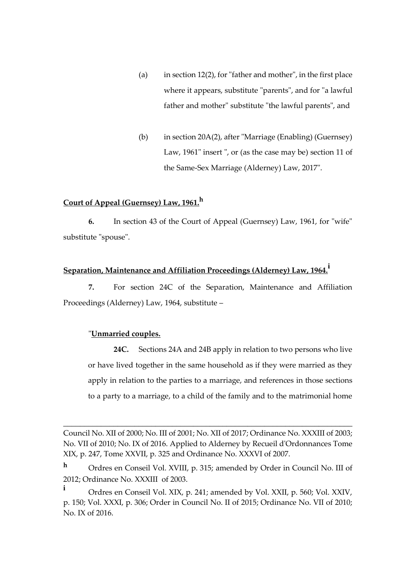- (a) in section 12(2), for "father and mother", in the first place where it appears, substitute "parents", and for "a lawful father and mother" substitute "the lawful parents", and
- (b) in section 20A(2), after "Marriage (Enabling) (Guernsey) Law, 1961" insert ", or (as the case may be) section 11 of the Same-Sex Marriage (Alderney) Law, 2017".

# **Court of Appeal (Guernsey) Law, 1961.<sup>h</sup>**

**6.** In section 43 of the Court of Appeal (Guernsey) Law, 1961, for "wife" substitute "spouse".

# **Separation, Maintenance and Affiliation Proceedings (Alderney) Law, 1964.<sup>i</sup>**

**7.** For section 24C of the Separation, Maintenance and Affiliation Proceedings (Alderney) Law, 1964, substitute –

#### "**Unmarried couples.**

**24C.** Sections 24A and 24B apply in relation to two persons who live or have lived together in the same household as if they were married as they apply in relation to the parties to a marriage, and references in those sections to a party to a marriage, to a child of the family and to the matrimonial home

Council No. XII of 2000; No. III of 2001; No. XII of 2017; Ordinance No. XXXIII of 2003; No. VII of 2010; No. IX of 2016. Applied to Alderney by Recueil d'Ordonnances Tome XIX, p. 247, Tome XXVII, p. 325 and Ordinance No. XXXVI of 2007.

**<sup>h</sup>** Ordres en Conseil Vol. XVIII, p. 315; amended by Order in Council No. III of 2012; Ordinance No. XXXIII of 2003.

**i** Ordres en Conseil Vol. XIX, p. 241; amended by Vol. XXII, p. 560; Vol. XXIV, p. 150; Vol. XXXI, p. 306; Order in Council No. II of 2015; Ordinance No. VII of 2010; No. IX of 2016.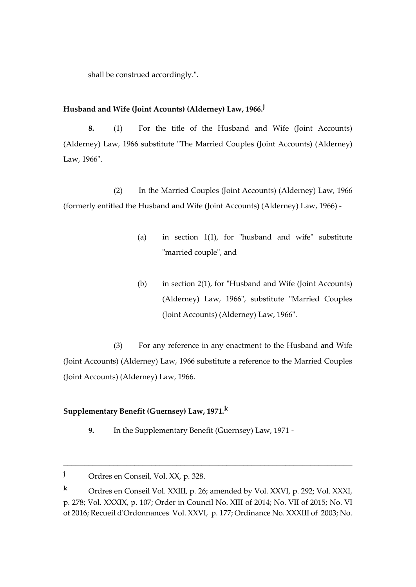shall be construed accordingly.".

#### **Husband and Wife (Joint Acounts) (Alderney) Law, 1966.<sup>j</sup>**

**8.** (1) For the title of the Husband and Wife (Joint Accounts) (Alderney) Law, 1966 substitute "The Married Couples (Joint Accounts) (Alderney) Law, 1966".

(2) In the Married Couples (Joint Accounts) (Alderney) Law, 1966 (formerly entitled the Husband and Wife (Joint Accounts) (Alderney) Law, 1966) -

- (a) in section 1(1), for "husband and wife" substitute "married couple", and
- (b) in section 2(1), for "Husband and Wife (Joint Accounts) (Alderney) Law, 1966", substitute "Married Couples (Joint Accounts) (Alderney) Law, 1966".

(3) For any reference in any enactment to the Husband and Wife (Joint Accounts) (Alderney) Law, 1966 substitute a reference to the Married Couples (Joint Accounts) (Alderney) Law, 1966.

# **Supplementary Benefit (Guernsey) Law, 1971.<sup>k</sup>**

**9.** In the Supplementary Benefit (Guernsey) Law, 1971 -

**<sup>j</sup>** Ordres en Conseil, Vol. XX, p. 328.

**<sup>k</sup>** Ordres en Conseil Vol. XXIII, p. 26; amended by Vol. XXVI, p. 292; Vol. XXXI, p. 278; Vol. XXXIX, p. 107; Order in Council No. XIII of 2014; No. VII of 2015; No. VI of 2016; Recueil d'Ordonnances Vol. XXVI, p. 177; Ordinance No. XXXIII of 2003; No.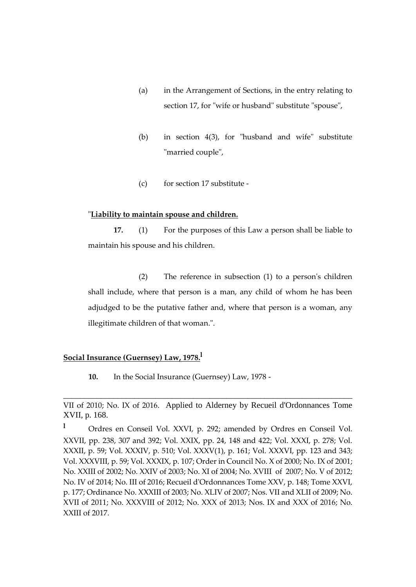- (a) in the Arrangement of Sections, in the entry relating to section 17, for "wife or husband" substitute "spouse",
- (b) in section 4(3), for "husband and wife" substitute "married couple",
- (c) for section 17 substitute -

#### "**Liability to maintain spouse and children.**

**17.** (1) For the purposes of this Law a person shall be liable to maintain his spouse and his children.

(2) The reference in subsection (1) to a person's children shall include, where that person is a man, any child of whom he has been adjudged to be the putative father and, where that person is a woman, any illegitimate children of that woman.".

# **Social Insurance (Guernsey) Law, 1978. l**

**10.** In the Social Insurance (Guernsey) Law, 1978 -

VII of 2010; No. IX of 2016. Applied to Alderney by Recueil d'Ordonnances Tome XVII, p. 168.

**<sup>l</sup>** Ordres en Conseil Vol. XXVI, p. 292; amended by Ordres en Conseil Vol. XXVII, pp. 238, 307 and 392; Vol. XXIX, pp. 24, 148 and 422; Vol. XXXI, p. 278; Vol. XXXII, p. 59; Vol. XXXIV, p. 510; Vol. XXXV(1), p. 161; Vol. XXXVI, pp. 123 and 343; Vol. XXXVIII, p. 59; Vol. XXXIX, p. 107; Order in Council No. X of 2000; No. IX of 2001; No. XXIII of 2002; No. XXIV of 2003; No. XI of 2004; No. XVIII of 2007; No. V of 2012; No. IV of 2014; No. III of 2016; Recueil d'Ordonnances Tome XXV, p. 148; Tome XXVI, p. 177; Ordinance No. XXXIII of 2003; No. XLIV of 2007; Nos. VII and XLII of 2009; No. XVII of 2011; No. XXXVIII of 2012; No. XXX of 2013; Nos. IX and XXX of 2016; No. XXIII of 2017.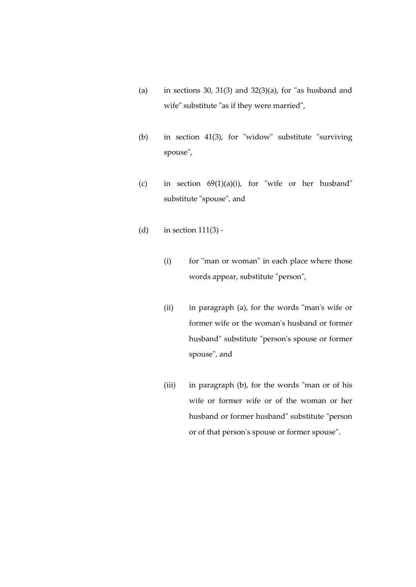- (a) in sections 30, 31(3) and 32(3)(a), for "as husband and wife" substitute "as if they were married",
- (b) in section 41(3), for "widow" substitute "surviving spouse",
- (c) in section 69(1)(a)(i), for "wife or her husband" substitute "spouse", and
- (d) in section  $111(3)$  -
	- (i) for "man or woman" in each place where those words appear, substitute "person",
	- (ii) in paragraph (a), for the words "man's wife or former wife or the woman's husband or former husband" substitute "person's spouse or former spouse", and
	- (iii) in paragraph (b), for the words "man or of his wife or former wife or of the woman or her husband or former husband" substitute "person or of that person's spouse or former spouse".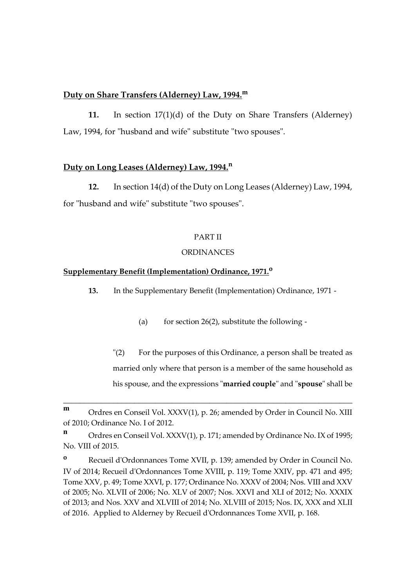#### **Duty on Share Transfers (Alderney) Law, 1994.<sup>m</sup>**

**11.** In section 17(1)(d) of the Duty on Share Transfers (Alderney) Law, 1994, for "husband and wife" substitute "two spouses".

#### **Duty on Long Leases (Alderney) Law, 1994.<sup>n</sup>**

**12.** In section 14(d) of the Duty on Long Leases (Alderney) Law, 1994, for "husband and wife" substitute "two spouses".

#### PART II

#### **ORDINANCES**

#### **Supplementary Benefit (Implementation) Ordinance, 1971.<sup>o</sup>**

**13.** In the Supplementary Benefit (Implementation) Ordinance, 1971 -

(a) for section  $26(2)$ , substitute the following -

"(2) For the purposes of this Ordinance, a person shall be treated as married only where that person is a member of the same household as his spouse, and the expressions "**married couple**" and "**spouse**" shall be

**m** Ordres en Conseil Vol. XXXV(1), p. 26; amended by Order in Council No. XIII of 2010; Ordinance No. I of 2012.

**n** Ordres en Conseil Vol. XXXV(1), p. 171; amended by Ordinance No. IX of 1995; No. VIII of 2015.

**<sup>o</sup>** Recueil d'Ordonnances Tome XVII, p. 139; amended by Order in Council No. IV of 2014; Recueil d'Ordonnances Tome XVIII, p. 119; Tome XXIV, pp. 471 and 495; Tome XXV, p. 49; Tome XXVI, p. 177; Ordinance No. XXXV of 2004; Nos. VIII and XXV of 2005; No. XLVII of 2006; No. XLV of 2007; Nos. XXVI and XLI of 2012; No. XXXIX of 2013; and Nos. XXV and XLVIII of 2014; No. XLVIII of 2015; Nos. IX, XXX and XLII of 2016. Applied to Alderney by Recueil d'Ordonnances Tome XVII, p. 168.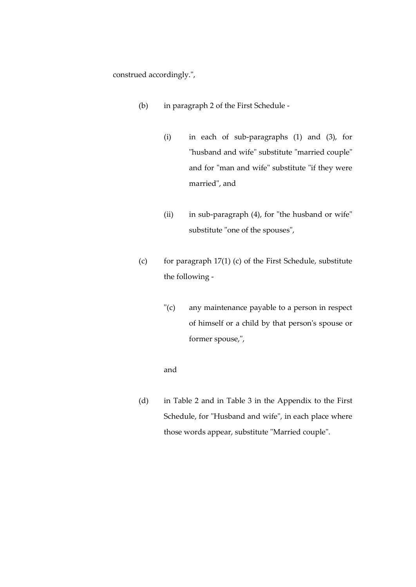construed accordingly.",

- (b) in paragraph 2 of the First Schedule
	- (i) in each of sub-paragraphs (1) and (3), for "husband and wife" substitute "married couple" and for "man and wife" substitute "if they were married", and
	- (ii) in sub-paragraph (4), for "the husband or wife" substitute "one of the spouses",
- (c) for paragraph 17(1) (c) of the First Schedule, substitute the following -
	- "(c) any maintenance payable to a person in respect of himself or a child by that person's spouse or former spouse,",

#### and

(d) in Table 2 and in Table 3 in the Appendix to the First Schedule, for "Husband and wife", in each place where those words appear, substitute "Married couple".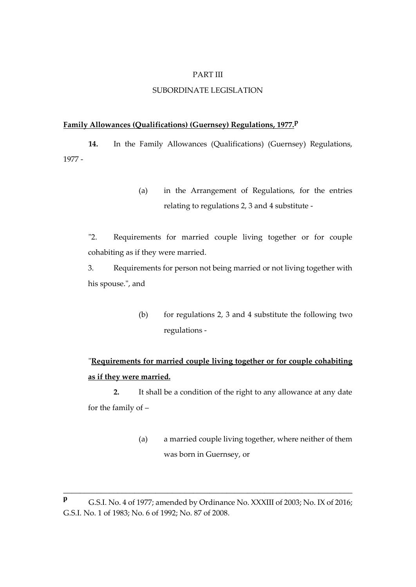#### PART III

#### SUBORDINATE LEGISLATION

#### **Family Allowances (Qualifications) (Guernsey) Regulations, 1977.<sup>p</sup>**

**14.** In the Family Allowances (Qualifications) (Guernsey) Regulations, 1977 -

> (a) in the Arrangement of Regulations, for the entries relating to regulations 2, 3 and 4 substitute -

"2. Requirements for married couple living together or for couple cohabiting as if they were married.

3. Requirements for person not being married or not living together with his spouse.", and

> (b) for regulations 2, 3 and 4 substitute the following two regulations -

# "**Requirements for married couple living together or for couple cohabiting as if they were married.**

**2.** It shall be a condition of the right to any allowance at any date for the family of –

> (a) a married couple living together, where neither of them was born in Guernsey, or

**<sup>p</sup>** G.S.I. No. 4 of 1977; amended by Ordinance No. XXXIII of 2003; No. IX of 2016; G.S.I. No. 1 of 1983; No. 6 of 1992; No. 87 of 2008.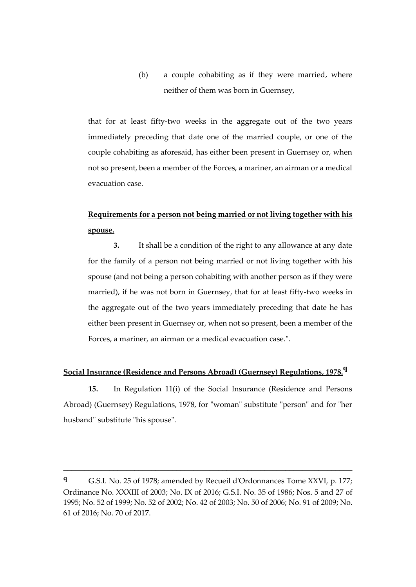(b) a couple cohabiting as if they were married, where neither of them was born in Guernsey,

that for at least fifty-two weeks in the aggregate out of the two years immediately preceding that date one of the married couple, or one of the couple cohabiting as aforesaid, has either been present in Guernsey or, when not so present, been a member of the Forces, a mariner, an airman or a medical evacuation case.

# **Requirements for a person not being married or not living together with his spouse.**

**3.** It shall be a condition of the right to any allowance at any date for the family of a person not being married or not living together with his spouse (and not being a person cohabiting with another person as if they were married), if he was not born in Guernsey, that for at least fifty-two weeks in the aggregate out of the two years immediately preceding that date he has either been present in Guernsey or, when not so present, been a member of the Forces, a mariner, an airman or a medical evacuation case.".

#### **Social Insurance (Residence and Persons Abroad) (Guernsey) Regulations, 1978.<sup>q</sup>**

**15.** In Regulation 11(i) of the Social Insurance (Residence and Persons Abroad) (Guernsey) Regulations, 1978, for "woman" substitute "person" and for "her husband" substitute "his spouse".

**<sup>q</sup>** G.S.I. No. 25 of 1978; amended by Recueil d'Ordonnances Tome XXVI, p. 177; Ordinance No. XXXIII of 2003; No. IX of 2016; G.S.I. No. 35 of 1986; Nos. 5 and 27 of 1995; No. 52 of 1999; No. 52 of 2002; No. 42 of 2003; No. 50 of 2006; No. 91 of 2009; No. 61 of 2016; No. 70 of 2017.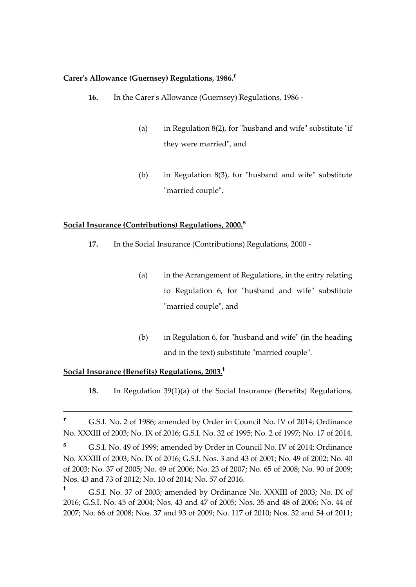#### **Carer's Allowance (Guernsey) Regulations, 1986.<sup>r</sup>**

- **16.** In the Carer's Allowance (Guernsey) Regulations, 1986
	- (a) in Regulation  $8(2)$ , for "husband and wife" substitute "if they were married", and
	- (b) in Regulation 8(3), for "husband and wife" substitute "married couple".

#### **Social Insurance (Contributions) Regulations, 2000.<sup>s</sup>**

- **17.** In the Social Insurance (Contributions) Regulations, 2000
	- (a) in the Arrangement of Regulations, in the entry relating to Regulation 6, for "husband and wife" substitute "married couple", and
	- (b) in Regulation 6, for "husband and wife" (in the heading and in the text) substitute "married couple".

## **Social Insurance (Benefits) Regulations, 2003.<sup>t</sup>**

**18.** In Regulation 39(1)(a) of the Social Insurance (Benefits) Regulations,

**<sup>r</sup>** G.S.I. No. 2 of 1986; amended by Order in Council No. IV of 2014; Ordinance No. XXXIII of 2003; No. IX of 2016; G.S.I. No. 32 of 1995; No. 2 of 1997; No. 17 of 2014.

**<sup>s</sup>** G.S.I. No. 49 of 1999; amended by Order in Council No. IV of 2014; Ordinance No. XXXIII of 2003; No. IX of 2016; G.S.I. Nos. 3 and 43 of 2001; No. 49 of 2002; No. 40 of 2003; No. 37 of 2005; No. 49 of 2006; No. 23 of 2007; No. 65 of 2008; No. 90 of 2009; Nos. 43 and 73 of 2012; No. 10 of 2014; No. 57 of 2016.

**<sup>t</sup>** G.S.I. No. 37 of 2003; amended by Ordinance No. XXXIII of 2003; No. IX of 2016; G.S.I. No. 45 of 2004; Nos. 43 and 47 of 2005; Nos. 35 and 48 of 2006; No. 44 of 2007; No. 66 of 2008; Nos. 37 and 93 of 2009; No. 117 of 2010; Nos. 32 and 54 of 2011;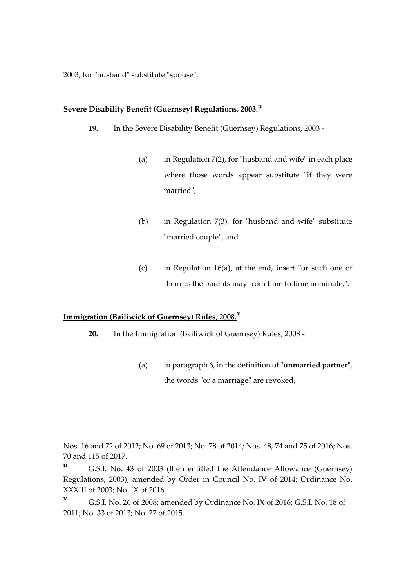2003, for "husband" substitute "spouse".

#### **Severe Disability Benefit (Guernsey) Regulations, 2003.<sup>u</sup>**

- **19.** In the Severe Disability Benefit (Guernsey) Regulations, 2003
	- (a) in Regulation 7(2), for "husband and wife" in each place where those words appear substitute "if they were married",
	- (b) in Regulation 7(3), for "husband and wife" substitute "married couple", and
	- (c) in Regulation 16(a), at the end, insert "or such one of them as the parents may from time to time nominate,".

# **Immigration (Bailiwick of Guernsey) Rules, 2008.<sup>v</sup>**

- **20.** In the Immigration (Bailiwick of Guernsey) Rules, 2008
	- (a) in paragraph 6, in the definition of "**unmarried partner**", the words "or a marriage" are revoked,

\_\_\_\_\_\_\_\_\_\_\_\_\_\_\_\_\_\_\_\_\_\_\_\_\_\_\_\_\_\_\_\_\_\_\_\_\_\_\_\_\_\_\_\_\_\_\_\_\_\_\_\_\_\_\_\_\_\_\_\_\_\_\_\_\_\_\_\_\_

**<sup>v</sup>** G.S.I. No. 26 of 2008; amended by Ordinance No. IX of 2016; G.S.I. No. 18 of 2011; No. 33 of 2013; No. 27 of 2015.

Nos. 16 and 72 of 2012; No. 69 of 2013; No. 78 of 2014; Nos. 48, 74 and 75 of 2016; Nos. 70 and 115 of 2017.

**<sup>u</sup>** G.S.I. No. 43 of 2003 (then entitled the Attendance Allowance (Guernsey) Regulations, 2003); amended by Order in Council No. IV of 2014; Ordinance No. XXXIII of 2003; No. IX of 2016.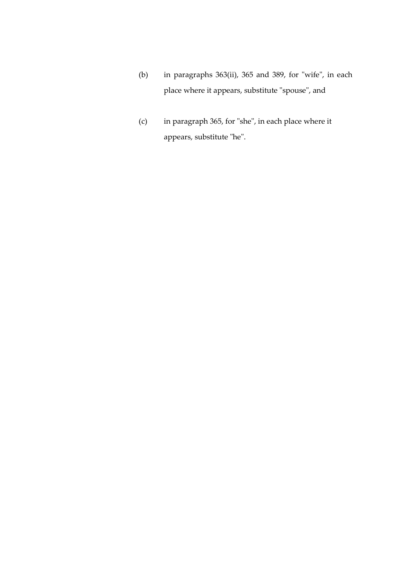- (b) in paragraphs 363(ii), 365 and 389, for "wife", in each place where it appears, substitute "spouse", and
- (c) in paragraph 365, for "she", in each place where it appears, substitute "he".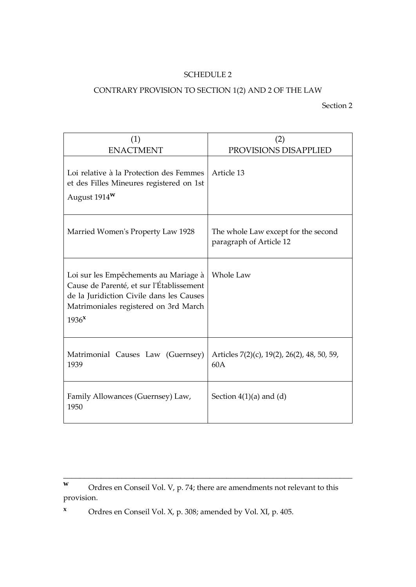## SCHEDULE 2

# CONTRARY PROVISION TO SECTION 1(2) AND 2 OF THE LAW

Section 2

| (1)<br><b>ENACTMENT</b>                                                                                                                                                                     | (2)<br>PROVISIONS DISAPPLIED                                   |
|---------------------------------------------------------------------------------------------------------------------------------------------------------------------------------------------|----------------------------------------------------------------|
| Loi relative à la Protection des Femmes<br>et des Filles Mineures registered on 1st<br>August $1914w$                                                                                       | Article 13                                                     |
| Married Women's Property Law 1928                                                                                                                                                           | The whole Law except for the second<br>paragraph of Article 12 |
| Loi sur les Empêchements au Mariage à<br>Cause de Parenté, et sur l'Établissement<br>de la Juridiction Civile dans les Causes<br>Matrimoniales registered on 3rd March<br>1936 <sup>x</sup> | Whole Law                                                      |
| Matrimonial Causes Law (Guernsey)<br>1939                                                                                                                                                   | Articles 7(2)(c), 19(2), 26(2), 48, 50, 59,<br>60A             |
| Family Allowances (Guernsey) Law,<br>1950                                                                                                                                                   | Section $4(1)(a)$ and $(d)$                                    |

\_\_\_\_\_\_\_\_\_\_\_\_\_\_\_\_\_\_\_\_\_\_\_\_\_\_\_\_\_\_\_\_\_\_\_\_\_\_\_\_\_\_\_\_\_\_\_\_\_\_\_\_\_\_\_\_\_\_\_\_\_\_\_\_\_\_\_\_\_

**<sup>x</sup>** Ordres en Conseil Vol. X, p. 308; amended by Vol. XI, p. 405.

**w** Ordres en Conseil Vol. V, p. 74; there are amendments not relevant to this provision.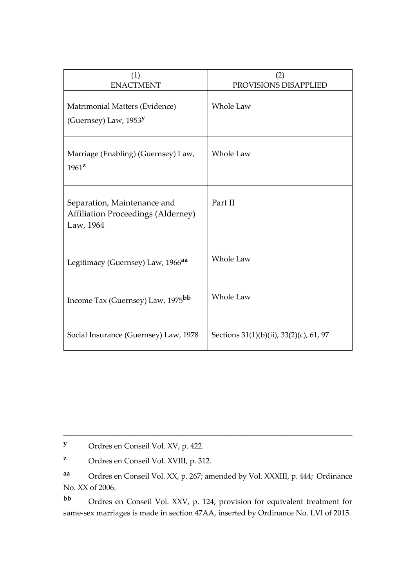| (1)<br><b>ENACTMENT</b>                                                               | (2)<br>PROVISIONS DISAPPLIED            |
|---------------------------------------------------------------------------------------|-----------------------------------------|
| Matrimonial Matters (Evidence)<br>(Guernsey) Law, $1953$ <sup>y</sup>                 | Whole Law                               |
| Marriage (Enabling) (Guernsey) Law,<br>$1961^{\mathbf{z}}$                            | Whole Law                               |
| Separation, Maintenance and<br><b>Affiliation Proceedings (Alderney)</b><br>Law, 1964 | Part II                                 |
| Legitimacy (Guernsey) Law, 1966 <sup>aa</sup>                                         | Whole Law                               |
| Income Tax (Guernsey) Law, 1975 <sup>bb</sup>                                         | Whole Law                               |
| Social Insurance (Guernsey) Law, 1978                                                 | Sections 31(1)(b)(ii), 33(2)(c), 61, 97 |

**<sup>y</sup>** Ordres en Conseil Vol. XV, p. 422.

**<sup>z</sup>** Ordres en Conseil Vol. XVIII, p. 312.

**aa** Ordres en Conseil Vol. XX, p. 267; amended by Vol. XXXIII, p. 444; Ordinance No. XX of 2006.

\_\_\_\_\_\_\_\_\_\_\_\_\_\_\_\_\_\_\_\_\_\_\_\_\_\_\_\_\_\_\_\_\_\_\_\_\_\_\_\_\_\_\_\_\_\_\_\_\_\_\_\_\_\_\_\_\_\_\_\_\_\_\_\_\_\_\_\_\_

**bb** Ordres en Conseil Vol. XXV, p. 124; provision for equivalent treatment for same-sex marriages is made in section 47AA, inserted by Ordinance No. LVI of 2015.